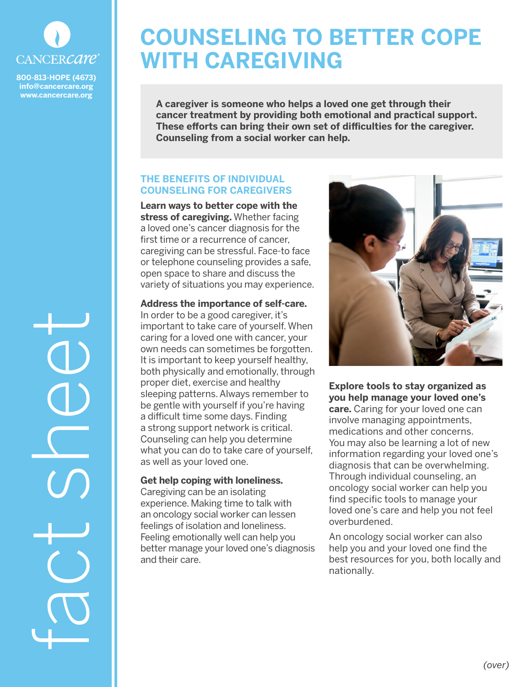

**800-813-HOPE (4673) info@cancercare.org www.cancercare.org**

# **COUNSELING TO BETTER COPE WITH CAREGIVING**

**A caregiver is someone who helps a loved one get through their cancer treatment by providing both emotional and practical support. These efforts can bring their own set of difficulties for the caregiver. Counseling from a social worker can help.**

# **THE BENEFITS OF INDIVIDUAL COUNSELING FOR CAREGIVERS**

**Learn ways to better cope with the stress of caregiving.** Whether facing a loved one's cancer diagnosis for the first time or a recurrence of cancer, caregiving can be stressful. Face-to face or telephone counseling provides a safe, open space to share and discuss the variety of situations you may experience.

#### **Address the importance of self-care.**

In order to be a good caregiver, it's important to take care of yourself. When caring for a loved one with cancer, your own needs can sometimes be forgotten. It is important to keep yourself healthy, both physically and emotionally, through proper diet, exercise and healthy sleeping patterns. Always remember to be gentle with yourself if you're having a difficult time some days. Finding a strong support network is critical. Counseling can help you determine what you can do to take care of yourself, as well as your loved one.

### **Get help coping with loneliness.**

Caregiving can be an isolating experience. Making time to talk with an oncology social worker can lessen feelings of isolation and loneliness. Feeling emotionally well can help you better manage your loved one's diagnosis and their care.



**Explore tools to stay organized as you help manage your loved one's care.** Caring for your loved one can involve managing appointments, medications and other concerns. You may also be learning a lot of new information regarding your loved one's diagnosis that can be overwhelming. Through individual counseling, an oncology social worker can help you find specific tools to manage your loved one's care and help you not feel overburdened.

An oncology social worker can also help you and your loved one find the best resources for you, both locally and nationally.